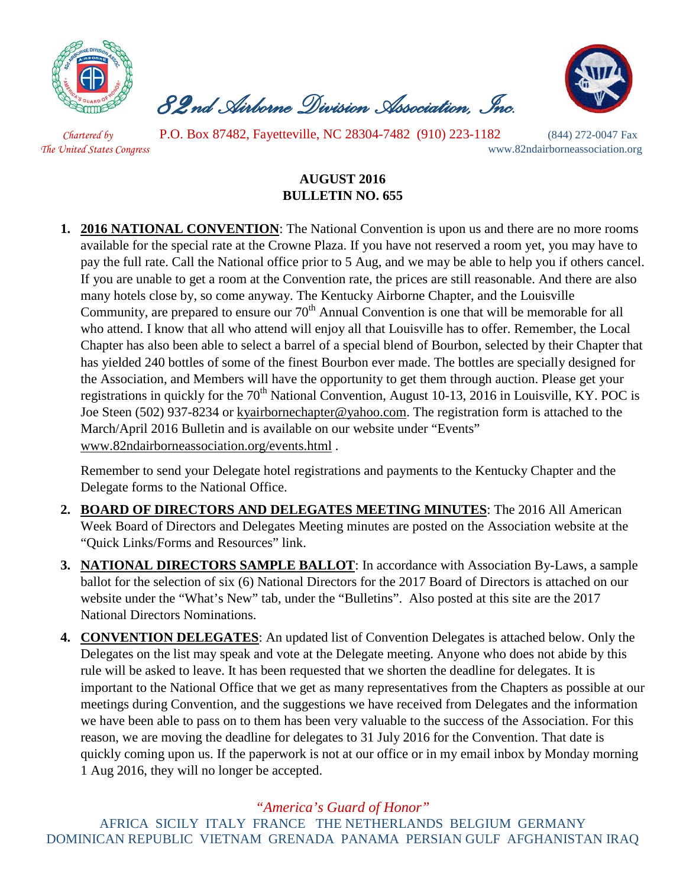

 *82nd Airborne Division Association, Inc.* 



*Chartered by* P.O. Box 87482, Fayetteville, NC 28304-7482 (910) 223-1182 (844) 272-0047 Fax *The United States Congress* www.82ndairborneassociation.org

## **AUGUST 2016 BULLETIN NO. 655**

**1. 2016 NATIONAL CONVENTION**: The National Convention is upon us and there are no more rooms available for the special rate at the Crowne Plaza. If you have not reserved a room yet, you may have to pay the full rate. Call the National office prior to 5 Aug, and we may be able to help you if others cancel. If you are unable to get a room at the Convention rate, the prices are still reasonable. And there are also many hotels close by, so come anyway. The Kentucky Airborne Chapter, and the Louisville Community, are prepared to ensure our  $70<sup>th</sup>$  Annual Convention is one that will be memorable for all who attend. I know that all who attend will enjoy all that Louisville has to offer. Remember, the Local Chapter has also been able to select a barrel of a special blend of Bourbon, selected by their Chapter that has yielded 240 bottles of some of the finest Bourbon ever made. The bottles are specially designed for the Association, and Members will have the opportunity to get them through auction. Please get your registrations in quickly for the  $70<sup>th</sup>$  National Convention, August 10-13, 2016 in Louisville, KY. POC is Joe Steen (502) 937-8234 or [kyairbornechapter@yahoo.com.](mailto:kyairbornechapter@yahoo.com) The registration form is attached to the March/April 2016 Bulletin and is available on our website under "Events" [www.82ndairborneassociation.org/events.html](http://www.82ndairborneassociation.org/events.html) .

Remember to send your Delegate hotel registrations and payments to the Kentucky Chapter and the Delegate forms to the National Office.

- **2. BOARD OF DIRECTORS AND DELEGATES MEETING MINUTES**: The 2016 All American Week Board of Directors and Delegates Meeting minutes are posted on the Association website at the "Quick Links/Forms and Resources" link.
- **3. NATIONAL DIRECTORS SAMPLE BALLOT**: In accordance with Association By-Laws, a sample ballot for the selection of six (6) National Directors for the 2017 Board of Directors is attached on our website under the "What's New" tab, under the "Bulletins". Also posted at this site are the 2017 National Directors Nominations.
- **4. CONVENTION DELEGATES**: An updated list of Convention Delegates is attached below. Only the Delegates on the list may speak and vote at the Delegate meeting. Anyone who does not abide by this rule will be asked to leave. It has been requested that we shorten the deadline for delegates. It is important to the National Office that we get as many representatives from the Chapters as possible at our meetings during Convention, and the suggestions we have received from Delegates and the information we have been able to pass on to them has been very valuable to the success of the Association. For this reason, we are moving the deadline for delegates to 31 July 2016 for the Convention. That date is quickly coming upon us. If the paperwork is not at our office or in my email inbox by Monday morning 1 Aug 2016, they will no longer be accepted.

## *"America's Guard of Honor"*

AFRICA SICILY ITALY FRANCE THE NETHERLANDS BELGIUM GERMANY DOMINICAN REPUBLIC VIETNAM GRENADA PANAMA PERSIAN GULF AFGHANISTAN IRAQ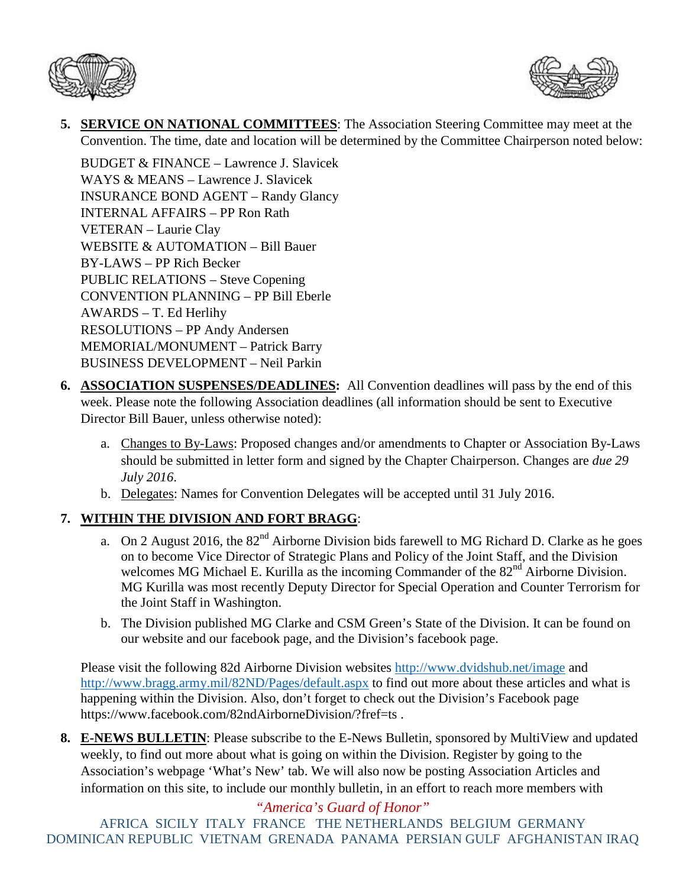



**5. SERVICE ON NATIONAL COMMITTEES**: The Association Steering Committee may meet at the Convention. The time, date and location will be determined by the Committee Chairperson noted below:

BUDGET  $&$  FINANCE – Lawrence J. Slavicek WAYS & MEANS – Lawrence J. Slavicek INSURANCE BOND AGENT – Randy Glancy INTERNAL AFFAIRS – PP Ron Rath VETERAN – Laurie Clay WEBSITE & AUTOMATION – Bill Bauer BY-LAWS – PP Rich Becker PUBLIC RELATIONS – Steve Copening CONVENTION PLANNING – PP Bill Eberle AWARDS – T. Ed Herlihy RESOLUTIONS – PP Andy Andersen MEMORIAL/MONUMENT – Patrick Barry BUSINESS DEVELOPMENT – Neil Parkin

- **6. ASSOCIATION SUSPENSES/DEADLINES:** All Convention deadlines will pass by the end of this week. Please note the following Association deadlines (all information should be sent to Executive Director Bill Bauer, unless otherwise noted):
	- a. Changes to By-Laws: Proposed changes and/or amendments to Chapter or Association By-Laws should be submitted in letter form and signed by the Chapter Chairperson. Changes are *due 29 July 2016*.
	- b. Delegates: Names for Convention Delegates will be accepted until 31 July 2016.

## **7. WITHIN THE DIVISION AND FORT BRAGG**:

- a. On 2 August 2016, the 82<sup>nd</sup> Airborne Division bids farewell to MG Richard D. Clarke as he goes on to become Vice Director of Strategic Plans and Policy of the Joint Staff, and the Division welcomes MG Michael E. Kurilla as the incoming Commander of the 82<sup>nd</sup> Airborne Division. MG Kurilla was most recently Deputy Director for Special Operation and Counter Terrorism for the Joint Staff in Washington.
- b. The Division published MG Clarke and CSM Green's State of the Division. It can be found on our website and our facebook page, and the Division's facebook page.

Please visit the following 82d Airborne Division websites<http://www.dvidshub.net/image> and <http://www.bragg.army.mil/82ND/Pages/default.aspx> to find out more about these articles and what is happening within the Division. Also, don't forget to check out the Division's Facebook page https://www.facebook.com/82ndAirborneDivision/?fref=ts .

**8. E-NEWS BULLETIN**: Please subscribe to the E-News Bulletin, sponsored by MultiView and updated weekly, to find out more about what is going on within the Division. Register by going to the Association's webpage 'What's New' tab. We will also now be posting Association Articles and information on this site, to include our monthly bulletin, in an effort to reach more members with

*"America's Guard of Honor"* AFRICA SICILY ITALY FRANCE THE NETHERLANDS BELGIUM GERMANY DOMINICAN REPUBLIC VIETNAM GRENADA PANAMA PERSIAN GULF AFGHANISTAN IRAQ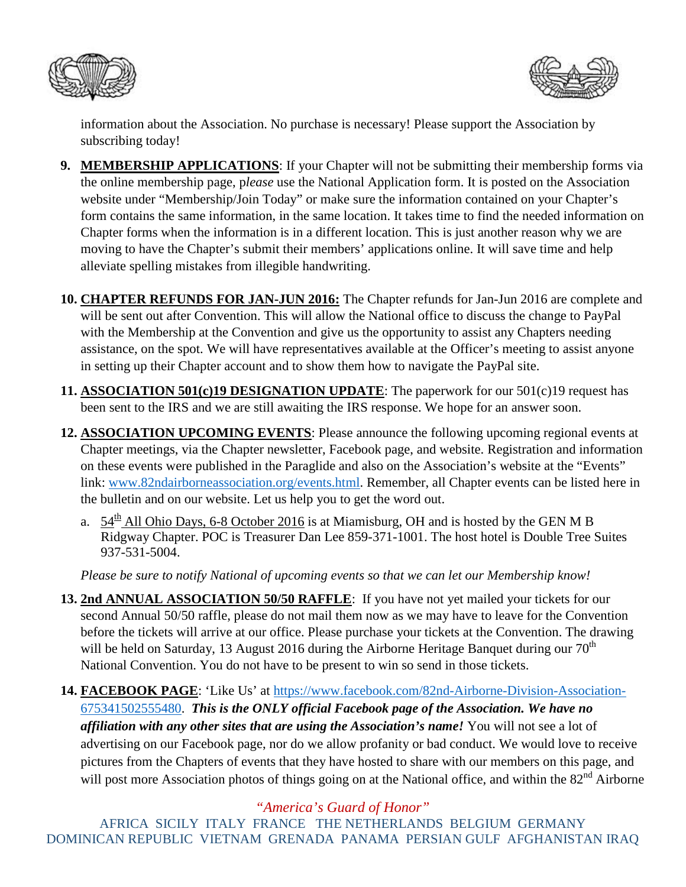



information about the Association. No purchase is necessary! Please support the Association by subscribing today!

- **9. MEMBERSHIP APPLICATIONS**: If your Chapter will not be submitting their membership forms via the online membership page, p*lease* use the National Application form. It is posted on the Association website under "Membership/Join Today" or make sure the information contained on your Chapter's form contains the same information, in the same location. It takes time to find the needed information on Chapter forms when the information is in a different location. This is just another reason why we are moving to have the Chapter's submit their members' applications online. It will save time and help alleviate spelling mistakes from illegible handwriting.
- **10. CHAPTER REFUNDS FOR JAN-JUN 2016:** The Chapter refunds for Jan-Jun 2016 are complete and will be sent out after Convention. This will allow the National office to discuss the change to PayPal with the Membership at the Convention and give us the opportunity to assist any Chapters needing assistance, on the spot. We will have representatives available at the Officer's meeting to assist anyone in setting up their Chapter account and to show them how to navigate the PayPal site.
- **11. ASSOCIATION 501(c)19 DESIGNATION UPDATE**: The paperwork for our 501(c)19 request has been sent to the IRS and we are still awaiting the IRS response. We hope for an answer soon.
- **12. ASSOCIATION UPCOMING EVENTS**: Please announce the following upcoming regional events at Chapter meetings, via the Chapter newsletter, Facebook page, and website. Registration and information on these events were published in the Paraglide and also on the Association's website at the "Events" link: [www.82ndairborneassociation.org/events.html.](http://www.82ndairborneassociation.org/events.html) Remember, all Chapter events can be listed here in the bulletin and on our website. Let us help you to get the word out.
	- a.  $54^{\text{th}}$  All Ohio Days, 6-8 October 2016 is at Miamisburg, OH and is hosted by the GEN M B Ridgway Chapter. POC is Treasurer Dan Lee 859-371-1001. The host hotel is Double Tree Suites 937-531-5004.

*Please be sure to notify National of upcoming events so that we can let our Membership know!*

- **13. 2nd ANNUAL ASSOCIATION 50/50 RAFFLE**: If you have not yet mailed your tickets for our second Annual 50/50 raffle, please do not mail them now as we may have to leave for the Convention before the tickets will arrive at our office. Please purchase your tickets at the Convention. The drawing will be held on Saturday, 13 August 2016 during the Airborne Heritage Banquet during our  $70<sup>th</sup>$ National Convention. You do not have to be present to win so send in those tickets.
- **14. FACEBOOK PAGE**: 'Like Us' at [https://www.facebook.com/82nd-Airborne-Division-Association-](https://www.facebook.com/82nd-Airborne-Division-Association-675341502555480)[675341502555480.](https://www.facebook.com/82nd-Airborne-Division-Association-675341502555480) *This is the ONLY official Facebook page of the Association. We have no affiliation with any other sites that are using the Association's name!* You will not see a lot of advertising on our Facebook page, nor do we allow profanity or bad conduct. We would love to receive pictures from the Chapters of events that they have hosted to share with our members on this page, and will post more Association photos of things going on at the National office, and within the 82<sup>nd</sup> Airborne

*"America's Guard of Honor"*

AFRICA SICILY ITALY FRANCE THE NETHERLANDS BELGIUM GERMANY DOMINICAN REPUBLIC VIETNAM GRENADA PANAMA PERSIAN GULF AFGHANISTAN IRAQ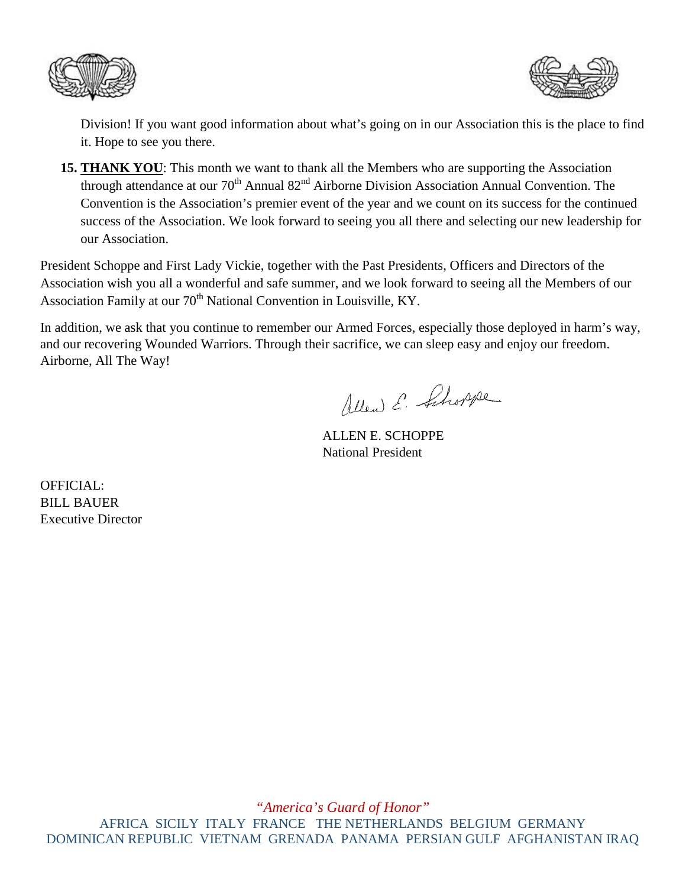



Division! If you want good information about what's going on in our Association this is the place to find it. Hope to see you there.

**15. THANK YOU**: This month we want to thank all the Members who are supporting the Association through attendance at our 70<sup>th</sup> Annual 82<sup>nd</sup> Airborne Division Association Annual Convention. The Convention is the Association's premier event of the year and we count on its success for the continued success of the Association. We look forward to seeing you all there and selecting our new leadership for our Association.

President Schoppe and First Lady Vickie, together with the Past Presidents, Officers and Directors of the Association wish you all a wonderful and safe summer, and we look forward to seeing all the Members of our Association Family at our 70<sup>th</sup> National Convention in Louisville, KY.

In addition, we ask that you continue to remember our Armed Forces, especially those deployed in harm's way, and our recovering Wounded Warriors. Through their sacrifice, we can sleep easy and enjoy our freedom. Airborne, All The Way!

Allen E. Schoppe

ALLEN E. SCHOPPE National President

OFFICIAL: BILL BAUER Executive Director